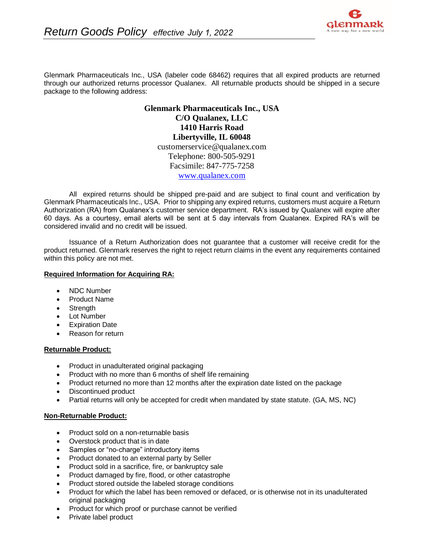

Glenmark Pharmaceuticals Inc., USA (labeler code 68462) requires that all expired products are returned through our authorized returns processor Qualanex. All returnable products should be shipped in a secure package to the following address:

> **Glenmark Pharmaceuticals Inc., USA C/O Qualanex, LLC 1410 Harris Road Libertyville, IL 60048** customerservice@qualanex.com Telephone: 800-505-9291 Facsimile: 847-775-7258 [www.qualanex.com](http://www.qualanex.com/)

All expired returns should be shipped pre-paid and are subject to final count and verification by Glenmark Pharmaceuticals Inc., USA. Prior to shipping any expired returns, customers must acquire a Return Authorization (RA) from Qualanex's customer service department. RA's issued by Qualanex will expire after 60 days. As a courtesy, email alerts will be sent at 5 day intervals from Qualanex. Expired RA's will be considered invalid and no credit will be issued.

Issuance of a Return Authorization does not guarantee that a customer will receive credit for the product returned. Glenmark reserves the right to reject return claims in the event any requirements contained within this policy are not met.

## **Required Information for Acquiring RA:**

- NDC Number
- Product Name
- **Strength**
- Lot Number
- Expiration Date
- Reason for return

# **Returnable Product:**

- Product in unadulterated original packaging
- Product with no more than 6 months of shelf life remaining
- Product returned no more than 12 months after the expiration date listed on the package
- Discontinued product
- Partial returns will only be accepted for credit when mandated by state statute. (GA, MS, NC)

### **Non-Returnable Product:**

- Product sold on a non-returnable basis
- Overstock product that is in date
- Samples or "no-charge" introductory items
- Product donated to an external party by Seller
- Product sold in a sacrifice, fire, or bankruptcy sale
- Product damaged by fire, flood, or other catastrophe
- Product stored outside the labeled storage conditions
- Product for which the label has been removed or defaced, or is otherwise not in its unadulterated original packaging
- Product for which proof or purchase cannot be verified
- Private label product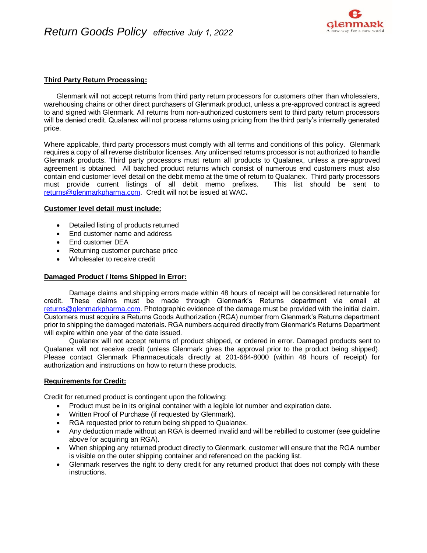

## **Third Party Return Processing:**

Glenmark will not accept returns from third party return processors for customers other than wholesalers, warehousing chains or other direct purchasers of Glenmark product, unless a pre-approved contract is agreed to and signed with Glenmark. All returns from non-authorized customers sent to third party return processors will be denied credit. Qualanex will not process returns using pricing from the third party's internally generated price.

Where applicable, third party processors must comply with all terms and conditions of this policy. Glenmark requires a copy of all reverse distributor licenses. Any unlicensed returns processor is not authorized to handle Glenmark products. Third party processors must return all products to Qualanex, unless a pre-approved agreement is obtained. All batched product returns which consist of numerous end customers must also contain end customer level detail on the debit memo at the time of return to Qualanex. Third party processors must provide current listings of all debit memo prefixes. This list should be sent to [returns@glenmarkpharma.com.](mailto:returns@glenmarkpharma.com) Credit will not be issued at WAC**.**

#### **Customer level detail must include:**

- Detailed listing of products returned
- End customer name and address
- End customer DEA
- Returning customer purchase price
- Wholesaler to receive credit

### **Damaged Product / Items Shipped in Error:**

Damage claims and shipping errors made within 48 hours of receipt will be considered returnable for credit. These claims must be made through Glenmark's Returns department via email at [returns@glenmarkpharma.com.](mailto:returns@glenmarkpharma.com) Photographic evidence of the damage must be provided with the initial claim. Customers must acquire a Returns Goods Authorization (RGA) number from Glenmark's Returns department prior to shipping the damaged materials. RGA numbers acquired directly from Glenmark's Returns Department will expire within one year of the date issued.

Qualanex will not accept returns of product shipped, or ordered in error. Damaged products sent to Qualanex will not receive credit (unless Glenmark gives the approval prior to the product being shipped). Please contact Glenmark Pharmaceuticals directly at 201-684-8000 (within 48 hours of receipt) for authorization and instructions on how to return these products.

### **Requirements for Credit:**

Credit for returned product is contingent upon the following:

- Product must be in its original container with a legible lot number and expiration date.
- Written Proof of Purchase (if requested by Glenmark).
- RGA requested prior to return being shipped to Qualanex.
- Any deduction made without an RGA is deemed invalid and will be rebilled to customer (see guideline above for acquiring an RGA).
- When shipping any returned product directly to Glenmark, customer will ensure that the RGA number is visible on the outer shipping container and referenced on the packing list.
- Glenmark reserves the right to deny credit for any returned product that does not comply with these instructions.